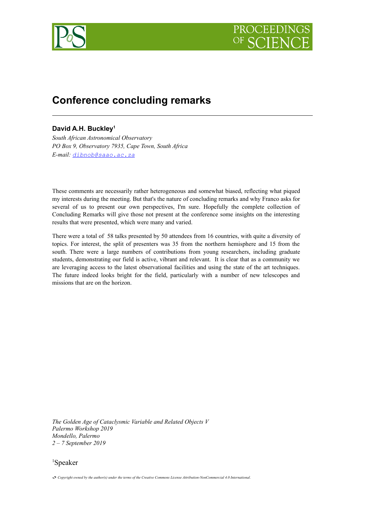

# **Conference concluding remarks**

## **David A.H. Buckley[1](#page-0-0)**

*South African Astronomical Observatory PO Box 9, Observatory 7935, Cape Town, South Africa E-mail: [dibnob@saao.ac.za](mailto:dibnob@saao.ac.za)*

These comments are necessarily rather heterogeneous and somewhat biased, reflecting what piqued my interests during the meeting. But that's the nature of concluding remarks and why Franco asks for several of us to present our own perspectives, I'm sure. Hopefully the complete collection of Concluding Remarks will give those not present at the conference some insights on the interesting results that were presented, which were many and varied.

There were a total of 58 talks presented by 50 attendees from 16 countries, with quite a diversity of topics. For interest, the split of presenters was 35 from the northern hemisphere and 15 from the south. There were a large numbers of contributions from young researchers, including graduate students, demonstrating our field is active, vibrant and relevant. It is clear that as a community we are leveraging access to the latest observational facilities and using the state of the art techniques. The future indeed looks bright for the field, particularly with a number of new telescopes and missions that are on the horizon.

*The Golden Age of Cataclysmic Variable and Related Objects V Palermo Workshop 2019 Mondello, Palermo 2 – 7 September 2019*

<span id="page-0-0"></span><sup>1</sup>Speaker

*Copyright owned by the author(s) under the terms of the Creative Commons License Attribution-NonCommercial 4.0 International.*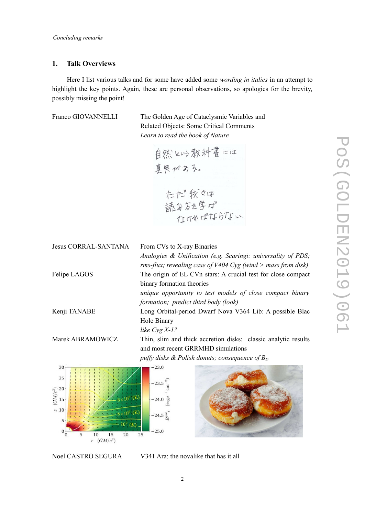### **1. Talk Overviews**

Here I list various talks and for some have added some *wording in italics* in an attempt to highlight the key points. Again, these are personal observations, so apologies for the brevity, possibly missing the point!

Franco GIOVANNELLI The Golden Age of Cataclysmic Variables and Related Objects: Some Critical Comments *Learn to read the book of Nature*

自然とい教科書には 真実がある。 たた。我々は<br>読みを学ば<br>なければならない

| <b>Jesus CORRAL-SANTANA</b>                 | From CVs to X-ray Binaries                                     |  |  |
|---------------------------------------------|----------------------------------------------------------------|--|--|
|                                             | Analogies & Unification (e.g. Scaringi: universality of PDS;   |  |  |
|                                             | rms-flux; revealing case of $V404$ Cyg (wind > mass from disk) |  |  |
| Felipe LAGOS                                | The origin of EL CVn stars: A crucial test for close compact   |  |  |
|                                             | binary formation theories                                      |  |  |
|                                             | unique opportunity to test models of close compact binary      |  |  |
|                                             | formation; predict third body (look)                           |  |  |
| Kenji TANABE                                | Long Orbital-period Dwarf Nova V364 Lib: A possible Blac       |  |  |
|                                             | Hole Binary                                                    |  |  |
|                                             | like $Cyg X-1?$                                                |  |  |
| Marek ABRAMOWICZ                            | Thin, slim and thick accretion disks: classic analytic results |  |  |
|                                             | and most recent GRRMHD simulations                             |  |  |
|                                             | puffy disks & Polish donuts; consequence of $B_D$              |  |  |
| 30                                          | $-23.0$                                                        |  |  |
| 25                                          |                                                                |  |  |
|                                             | $-23.5$                                                        |  |  |
| $\frac{1}{2}$ $\frac{1}{2}$ $\frac{20}{15}$ | $-24.0$                                                        |  |  |
|                                             |                                                                |  |  |
| <sup>22</sup> 10                            | $-24.5$ $\overline{2}$                                         |  |  |
|                                             |                                                                |  |  |
| 10<br>20<br>15                              | $-25.0$<br>25                                                  |  |  |

 $r$   $(GM/c^2)$ 

Noel CASTRO SEGURA V341 Ara: the novalike that has it all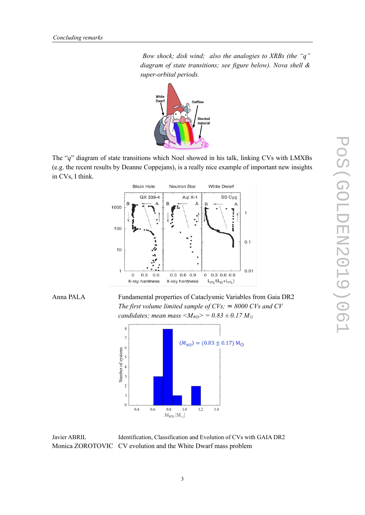*Bow shock; disk wind; also the analogies to XRBs (the "q" diagram of state transitions; see figure below). Nova shell & super-orbital periods.*



The "*q*" diagram of state transitions which Noel showed in his talk, linking CVs with LMXBs (e.g. the recent results by Deanne Coppejans), is a really nice example of important new insights in CVs, I think.





Anna PALA Fundamental properties of Cataclysmic Variables from Gaia DR2 *The first volume limited sample of CVs;*  $\simeq 8000$  *CVs and CV candidates; mean mass <* $M_{WD}$ *>* = 0.83 ± 0.17  $M_{\odot}$ 



Javier ABRIL Identification, Classification and Evolution of CVs with GAIA DR2 Monica ZOROTOVIC CV evolution and the White Dwarf mass problem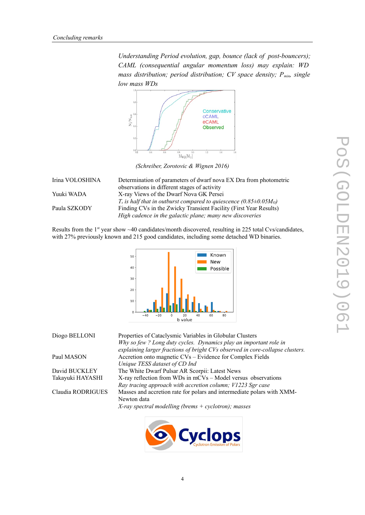*Understanding Period evolution, gap, bounce (lack of post-bouncers); CAML (consequential angular momentum loss) may explain: WD mass distribution; period distribution; CV space density; Pmin, single low mass WDs*



*(Schreiber, Zorotovic & Wignen 2016)*

| Irina VOLOSHINA | Determination of parameters of dwarf nova EX Dra from photometric                    |
|-----------------|--------------------------------------------------------------------------------------|
|                 | observations in different stages of activity                                         |
| Yuuki WADA      | X-ray Views of the Dwarf Nova GK Persei                                              |
|                 | $T_s$ is half that in outburst compared to quiescence (0.85 $\pm$ 0.05 $M_{\odot}$ ) |
| Paula SZKODY    | Finding CVs in the Zwicky Transient Facility (First Year Results)                    |
|                 | High cadence in the galactic plane; many new discoveries                             |

Results from the  $1<sup>st</sup>$  year show  $\sim$  40 candidates/month discovered, resulting in 225 total Cvs/candidates, with 27% previously known and 215 good candidates, including some detached WD binaries.



| Diogo BELLONI     | Properties of Cataclysmic Variables in Globular Clusters                      |
|-------------------|-------------------------------------------------------------------------------|
|                   | Why so few ? Long duty cycles. Dynamics play an important role in             |
|                   | explaining larger fractions of bright CVs observed in core-collapse clusters. |
| Paul MASON        | Accretion onto magnetic CVs – Evidence for Complex Fields                     |
|                   | Unique TESS dataset of CD Ind                                                 |
| David BUCKLEY     | The White Dwarf Pulsar AR Scorpii: Latest News                                |
| Takayuki HAYASHI  | X-ray reflection from WDs in mCVs – Model versus observations                 |
|                   | Ray tracing approach with accretion column; V1223 Sgr case                    |
| Claudia RODRIGUES | Masses and accretion rate for polars and intermediate polars with XMM-        |
|                   | Newton data                                                                   |
|                   | X-ray spectral modelling (brems $+$ cyclotron); masses                        |
|                   |                                                                               |

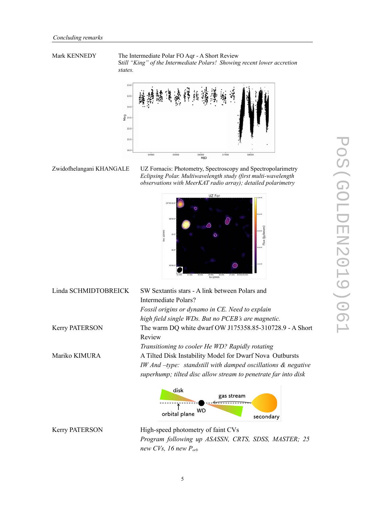Mark KENNEDY The Intermediate Polar FO Aqr - A Short Review S*till "King" of the Intermediate Polars! Showing recent lower accretion states.*



Zwidofhelangani KHANGALE UZ Fornacis: Photometry, Spectroscopy and Spectropolarimetry *Eclipsing Polar. Multiwavelength study (first multi-wavelength observations with MeerKAT radio array); detailed polarimetry*



| Linda SCHMIDTOBREICK  | SW Sextantis stars - A link between Polars and                              |  |  |  |
|-----------------------|-----------------------------------------------------------------------------|--|--|--|
|                       | Intermediate Polars?                                                        |  |  |  |
|                       | Fossil origins or dynamo in CE. Need to explain                             |  |  |  |
|                       | high field single WDs. But no PCEB's are magnetic.                          |  |  |  |
| <b>Kerry PATERSON</b> | The warm DQ white dwarf OW J175358.85-310728.9 - A Short                    |  |  |  |
|                       | Review                                                                      |  |  |  |
|                       | Transitioning to cooler He WD? Rapidly rotating                             |  |  |  |
| Mariko KIMURA         | A Tilted Disk Instability Model for Dwarf Nova Outbursts                    |  |  |  |
|                       | $IW$ And $-\text{type}$ : standstill with damped oscillations $\&$ negative |  |  |  |
|                       | superhump; tilted disc allow stream to penetrate far into disk              |  |  |  |
|                       |                                                                             |  |  |  |
|                       | disk<br>gas stream                                                          |  |  |  |
|                       |                                                                             |  |  |  |
|                       | WD<br>orbital plane<br>secondary                                            |  |  |  |
|                       |                                                                             |  |  |  |

Kerry PATERSON High-speed photometry of faint CVs *Program following up ASASSN, CRTS, SDSS, MASTER; 25 new CVs, 16 new Porb*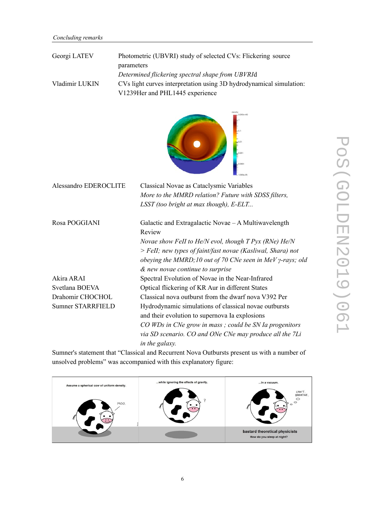| Georgi LATEV   | Photometric (UBVRI) study of selected CVs: Flickering source        |
|----------------|---------------------------------------------------------------------|
|                | parameters                                                          |
|                | Determined flickering spectral shape from UBVRId                    |
| Vladimir LUKIN | CVs light curves interpretation using 3D hydrodynamical simulation: |
|                | V1239Her and PHL1445 experience                                     |



| Alessandro EDEROCLITE | Classical Novae as Cataclysmic Variables                           |
|-----------------------|--------------------------------------------------------------------|
|                       | More to the MMRD relation? Future with SDSS filters,               |
|                       | LSST (too bright at max though), E-ELT                             |
| Rosa POGGIANI         | Galactic and Extragalactic Novae – A Multiwavelength<br>Review     |
|                       | Novae show FeII to He/N evol, though $T$ Pyx (RNe) He/N            |
|                       | > FeII; new types of faint/fast novae (Kasliwal, Shara) not        |
|                       | obeying the MMRD; 10 out of 70 CNe seen in MeV $\gamma$ -rays; old |
|                       | & new novae continue to surprise                                   |
| Akira ARAI            | Spectral Evolution of Novae in the Near-Infrared                   |
| Svetlana BOEVA        | Optical flickering of KR Aur in different States                   |
| Drahomir CHOCHOL      | Classical nova outburst from the dwarf nova V392 Per               |
| Sumner STARRFIELD     | Hydrodynamic simulations of classical novae outbursts              |
|                       | and their evolution to supernova Ia explosions                     |
|                       | CO WDs in CNe grow in mass; could be SN Ia progenitors             |
|                       | via SD scenario. CO and ONe CNe may produce all the 7Li            |
|                       | in the galaxy.                                                     |

Sumner's statement that "Classical and Recurrent Nova Outbursts present us with a number of unsolved problems" was accompanied with this explanatory figure:

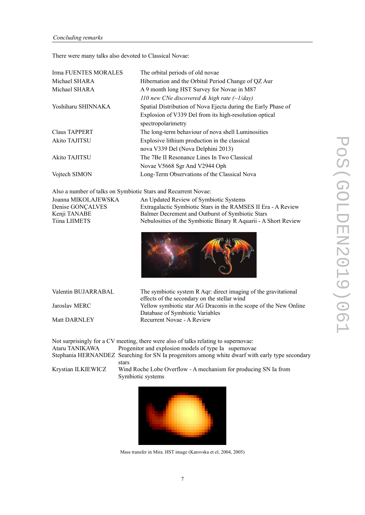There were many talks also devoted to Classical Novae:

| Irma FUENTES MORALES | The orbital periods of old novae                              |
|----------------------|---------------------------------------------------------------|
| Michael SHARA        | Hibernation and the Orbital Period Change of QZ Aur           |
| Michael SHARA        | A 9 month long HST Survey for Novae in M87                    |
|                      | 110 new CNe discovered & high rate $(\sim 1$ /day)            |
| Yoshiharu SHINNAKA   | Spatial Distribution of Nova Ejecta during the Early Phase of |
|                      | Explosion of V339 Del from its high-resolution optical        |
|                      | spectropolarimetry                                            |
| <b>Claus TAPPERT</b> | The long-term behaviour of nova shell Luminosities            |
| Akito TAJITSU        | Explosive lithium production in the classical                 |
|                      | nova V339 Del (Nova Delphini 2013)                            |
| Akito TAJITSU        | The 7Be II Resonance Lines In Two Classical                   |
|                      | Novae V5668 Sgr And V2944 Oph                                 |
| Vojtech SIMON        | Long-Term Observations of the Classical Nova                  |

Also a number of talks on Symbiotic Stars and Recurrent Novae:

| Joanna MIKOLAJEWSKA | An Updated Review of Symbiotic Systems                          |
|---------------------|-----------------------------------------------------------------|
| Denise GONCALVES    | Extragalactic Symbiotic Stars in the RAMSES II Era - A Review   |
| Kenji TANABE        | Balmer Decrement and Outburst of Symbiotic Stars                |
| Tiina LIIMETS       | Nebulosities of the Symbiotic Binary R Aquarii - A Short Review |



Valentin BUJARRABAL The symbiotic system R Aqr: direct imaging of the gravitational effects of the secondary on the stellar wind Jaroslav MERC Yellow symbiotic star AG Draconis in the scope of the New Online Database of Symbiotic Variables Matt DARNLEY Recurrent Novae - A Review

Not surprisingly for a CV meeting, there were also of talks relating to supernovae: Ataru TANIKAWA Progenitor and explosion models of type Ia supernovae Stephania HERNANDEZ Searching for SN Ia progenitors among white dwarf with early type secondary stars

Krystian ILKIEWICZ Wind Roche Lobe Overflow - A mechanism for producing SN Ia from Symbiotic systems

Mass transfer in Mira. HST image (Karovska et el, 2004, 2005)